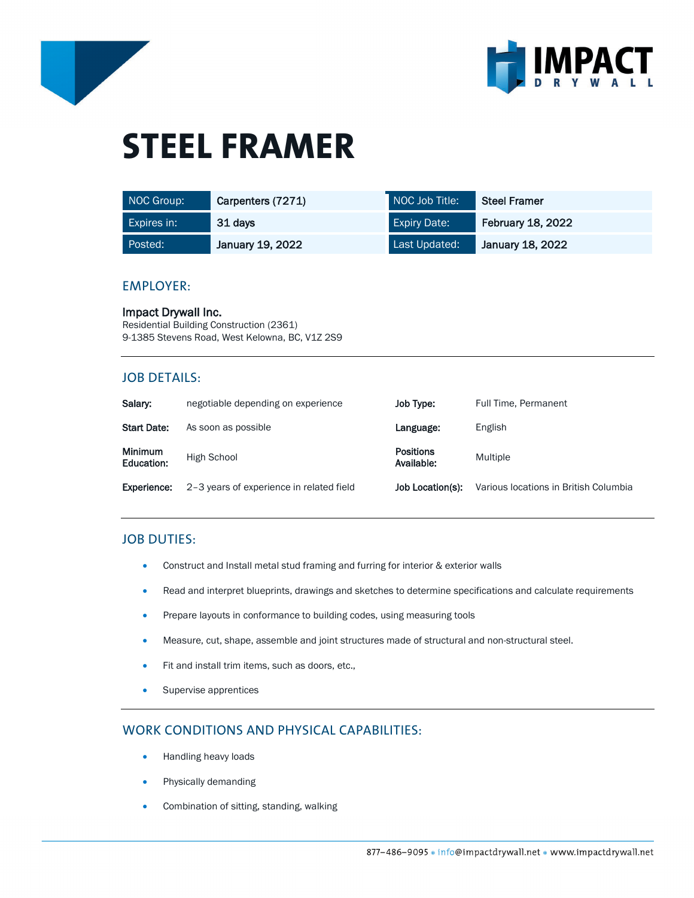



# **STEEL FRAMER**

| NOC Group:  | Carpenters (7271) | NOC Job Title:      | <b>Steel Framer</b>      |
|-------------|-------------------|---------------------|--------------------------|
| Expires in: | 31 days           | <b>Expiry Date:</b> | <b>February 18, 2022</b> |
| Posted:     | January 19, 2022  | Last Updated:       | January 18, 2022         |

#### EMPLOYER:

Impact Drywall Inc. Residential Building Construction (2361) 9-1385 Stevens Road, West Kelowna, BC, V1Z 2S9

# JOB DETAILS:

| Salary:                      | negotiable depending on experience       | Job Type:                      | Full Time, Permanent                  |
|------------------------------|------------------------------------------|--------------------------------|---------------------------------------|
| <b>Start Date:</b>           | As soon as possible                      | Language:                      | English                               |
| <b>Minimum</b><br>Education: | High School                              | <b>Positions</b><br>Available: | Multiple                              |
| Experience:                  | 2-3 years of experience in related field | Job Location(s):               | Various locations in British Columbia |

# JOB DUTIES:

- Construct and Install metal stud framing and furring for interior & exterior walls
- Read and interpret blueprints, drawings and sketches to determine specifications and calculate requirements
- Prepare layouts in conformance to building codes, using measuring tools
- Measure, cut, shape, assemble and joint structures made of structural and non-structural steel.
- Fit and install trim items, such as doors, etc.,
- Supervise apprentices

# WORK CONDITIONS AND PHYSICAL CAPABILITIES:

- Handling heavy loads
- Physically demanding
- Combination of sitting, standing, walking